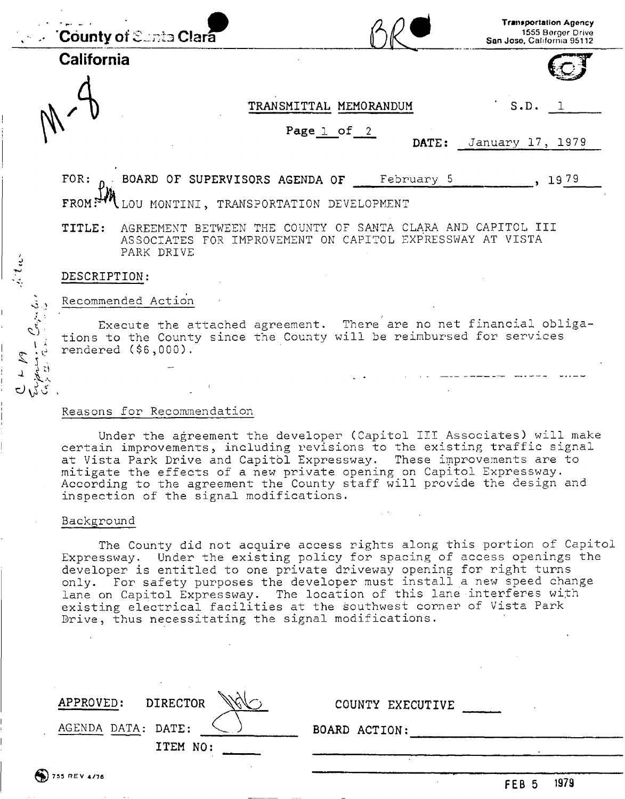|            |                                                                                                                                                                   | <b>County of Sunta Clara</b>                                                                                                           |            | <b>Transportation Agency</b><br>1555 Berger Drive<br>San Jose, Catifornia 95112 |  |  |  |
|------------|-------------------------------------------------------------------------------------------------------------------------------------------------------------------|----------------------------------------------------------------------------------------------------------------------------------------|------------|---------------------------------------------------------------------------------|--|--|--|
| California |                                                                                                                                                                   |                                                                                                                                        |            |                                                                                 |  |  |  |
|            |                                                                                                                                                                   | TRANSMITTAL MEMORANDUM                                                                                                                 |            | S.D.                                                                            |  |  |  |
|            |                                                                                                                                                                   | Page $1$ of $2$                                                                                                                        | DATE:      | January 17, 1979                                                                |  |  |  |
|            | FOR:                                                                                                                                                              | BOARD OF SUPERVISORS AGENDA OF                                                                                                         | February 5 | 1979                                                                            |  |  |  |
|            | <b>FROM</b><br>'I LOU MONTINI, TRANSPORTATION DEVELOPMENT                                                                                                         |                                                                                                                                        |            |                                                                                 |  |  |  |
|            | TITLE:                                                                                                                                                            | AGREEMENT BETWEEN THE COUNTY OF SANTA CLARA AND CAPITOL III<br>ASSOCIATES FOR IMPROVEMENT ON CAPITOL EXPRESSWAY AT VISTA<br>PARK DRIVE |            |                                                                                 |  |  |  |
|            | DESCRIPTION:                                                                                                                                                      |                                                                                                                                        |            |                                                                                 |  |  |  |
|            |                                                                                                                                                                   | Recommended Action                                                                                                                     |            |                                                                                 |  |  |  |
| 2          | Execute the attached agreement. There are no net financial obliga-<br>tions to the County since the County will be reimbursed for services<br>rendered (\$6,000). |                                                                                                                                        |            |                                                                                 |  |  |  |
|            |                                                                                                                                                                   | Reasons for Recommendation                                                                                                             |            |                                                                                 |  |  |  |

Under the agreement the developer (Capitol III Associates) will make certain improvements, including revisions to the existing traffic signal at Vista Park Drive and Capitol Expressway. These improvements are to mitigate the effects of a new private opening on Capitol Expressway. According to the agreement the County staff will provide the design and inspection of the signal modifications.

#### Background

The County did not acquire access rights along this portion of Capitol Expressway. Under the existing policy for spacing of access openings the developer is entitled to one private driveway opening for right turns only. For safety purposes the developer must install a new speed change lane on Capitol Expressway. The location of this lane interferes with existing electrical facilities at the southwest corner of Vista Park Drive, thus necessitating the signal modifications.

| APPROVED:<br><b>DIRECTOR</b><br>AGENDA DATA: DATE: | COUNTY EXECUTIVE<br><b>BOARD ACTION:</b> |
|----------------------------------------------------|------------------------------------------|
| ITEM NO:<br>$\binom{2}{3}$ 755 REV 4/76            |                                          |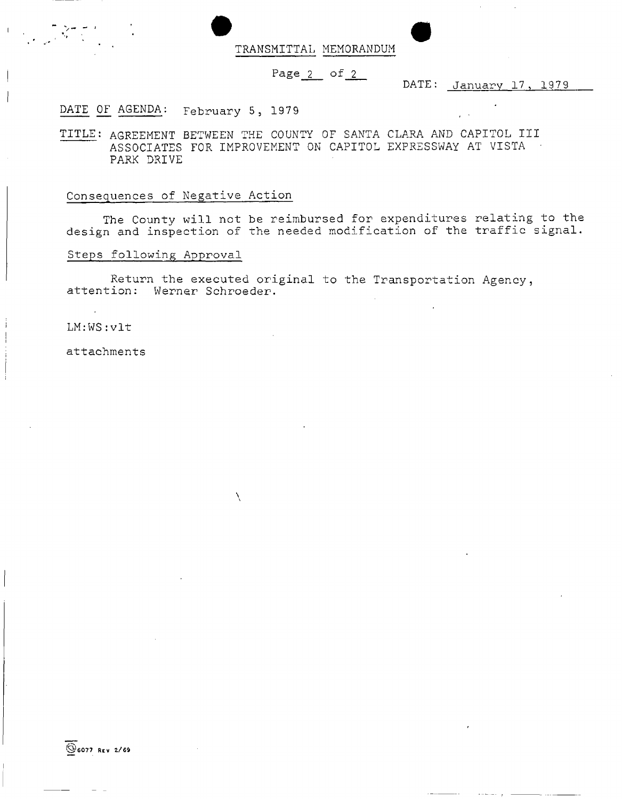• TRANSMITTAL MEMORANDUM

## Page $2$  of  $2$

DATE: January 17, 1979

## DATE OF AGENDA: February 5, 1979

TITLE: AGREEMENT BETWEEN THE COUNTY OF SANTA CLARA AND CAPITOL III ASSOCIATES FOR IMPROVEMENT ON CAPITOL EXPRESSWAY AT VISTA • PARK DRIVE

#### Consequences of Negative Action

The County will not be reimbursed for expenditures relating to the design and inspection of the needed modification of the traffic signal.

## Steps following Approval

Return the executed original to the Transportation Agency, attention: Werner Schroeder.

Ń

#### LM:WS:vlt

attachments

©607 7 REV 2/6 9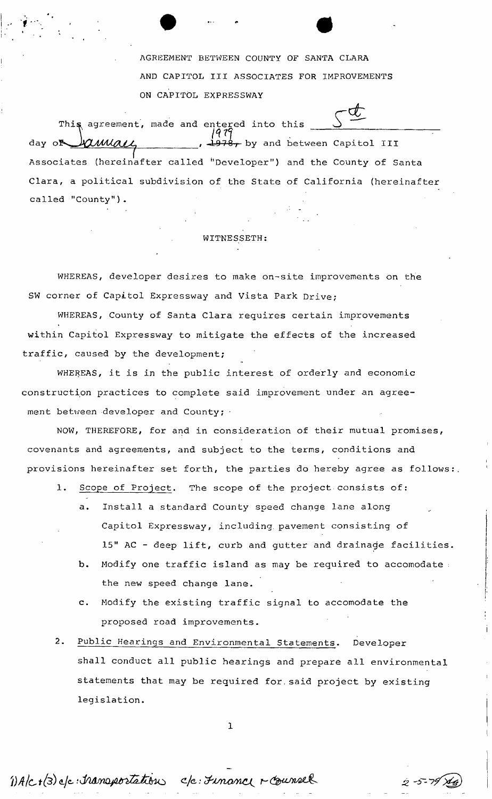AGREEMENT BETWEEN COUNTY OF SANTA CLARA AND CAPITOL III ASSOCIATES FOR IMPROVEMENTS ON CAPITOL EXPRESSWAY

*t -* This agreement, made and entered into this amace , 1978, by and between Capitol III day o Associates (hereinafter called "Developer") and the County of Santa Clara, a political subdivision of the State of California (hereinafter called "County").

## WITNESSETH:

WHEREAS, developer desires to make on-site improvements on the SW corner of Capitol Expressway and Vista Park Drive;

traffic, caused by the development; WHEREAS, County of Santa Clara requires certain improvements within Capitol Expressway to mitigate the effects of the increased

WHEREAS, it is in the public interest of orderly and economic construction practices to complete said improvement under an agreement between developer and County;

NOW, THEREFORE, for and in consideration of their mutual promises, covenants and agreements, and subject to the terms, conditions and provisions hereinafter set forth, the parties do hereby agree as follows:.

- 1. Scope of Project. The scope of the project consists of:
	- a. Install a standard County speed change lane along Capitol Expressway, including, pavement consisting of 15" AC - deep lift, curb and gutter and drainage facilities.
	- b. Modify one traffic island as may be required to accomodate : the new speed change lane.
	- c. Modify the existing traffic signal to accomodate the proposed road improvements.
- 2. Public Hearings and Environmental Statements. Developer shall conduct all public hearings and prepare all environmental statements that may be required for.said project by existing legislation.

**1** 

1) A/c+(3) e/c: transportation c/c: Finance r counsel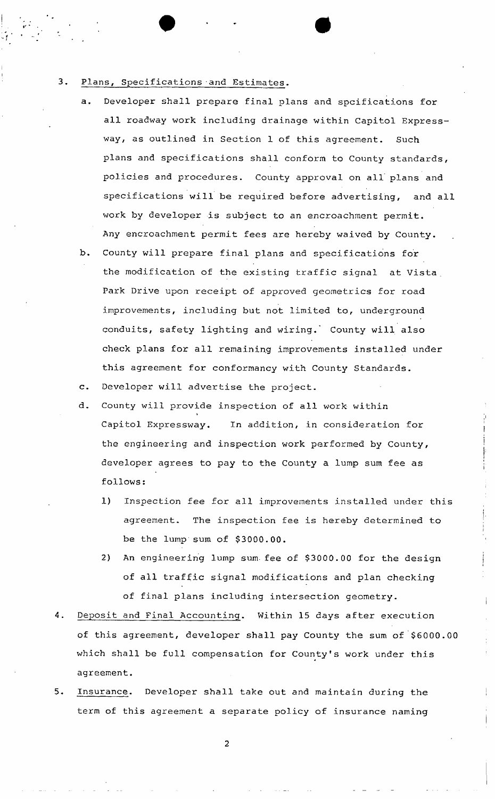# 3. Plans, Specifications and Estimates.

a. Developer shall prepare final plans and spcifications for all roadway work including drainage within Capitol Expressway, as outlined in Section 1 of this agreement. Such plans and specifications shall conform to County standards, policies and procedures. County approval on all' plans and specifications will be required before advertising, and all work by developer is subject to an encroachment permit. Any encroachment permit fees are hereby waived by County.

**• • • •** 

- b. County will prepare final plans and specifications for the modification of the existing traffic signal at Vista . Park Drive upon receipt of approved geometrics for road improvements, including but not limited to, underground conduits, safety lighting and wiring.' County will also check plans for all remaining improvements installed under this agreement for conformancy with County Standards.
- c. Developer will advertise the project.
- d. County will provide inspection of all work within I Capitol Expressway. In addition, in consideration for the engineering and inspection work performed by County, developer agrees to pay to the County a lump sum fee as follows:
	- 1) Inspection fee for all improvements installed under this agreement. The inspection fee is hereby determined to be the lump sum of \$3000.00.
	- 2) An engineering lump sum- fee of \$3000.00 for the design of all traffic signal modifications and plan checking of final plans including intersection geometry.
- 4. Deposit and Final Accounting. Within 15 days after execution of this agreement, developer shall pay County the sum of \$6000.00 which shall be full compensation for County's work under this agreement.
- $5.$ Insurance. Developer shall take out and maintain during the term of this agreement a separate policy of insurance naming

**2**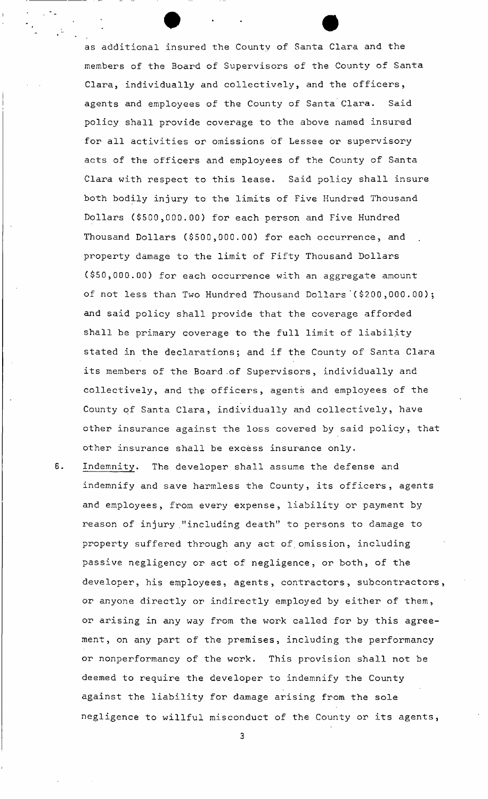as additional insured the County of Santa Clara and the members of the Board of Supervisors of the County of Santa Clara, individually and collectively, and the officers, agents and employees of the County of Santa Clara. Said policy shall provide coverage to the above named insured for all activities or omissions of Lessee or supervisory acts of the officers and employees of the County of Santa Clara with respect to this lease. Said policy shall insure both bodily injury to the limits of Five Hundred Thousand Dollars (\$500,000.00) for each person and Five Hundred Thousand Dollars (\$500,000.00) for each occurrence, and property damage to the limit of Fifty Thousand Dollars (\$50,000.00) for each occurrence with an aggregate amount of not less than Two Hundred Thousand Dollars'(\$200 ,000.00); and said policy shall provide that the coverage afforded shall be primary coverage to the full limit of liability stated in the declarations; and if the County of Santa Clara its members of the Board .of Supervisors, individually and collectively, and the- officers, agents and employees of the County of Santa Clara, individually and collectively, have other insurance against the loss covered by said policy, that other insurance shall be excess insurance only.

Indemnity. The developer shall assume the defense and 6. indemnify and save harmless the County, its officers, agents and employees, from every expense, liability or payment by reason of injury "including death" to persons to damage to property suffered through any act of omission, including passive negligency or act of negligence, or both, of the developer, his employees, agents, contractors, subcontractors, or anyone directly or indirectly employed by either of them, or arising in any way from the work called for by this agreement, on any part of the premises, including the performancy or nonperformancy of the work. This provision shall not be deemed to require the developer to indemnify the County against the liability for damage arising from the sole negligence to willful misconduct of the County or its agents,

 $\mathbf{3}$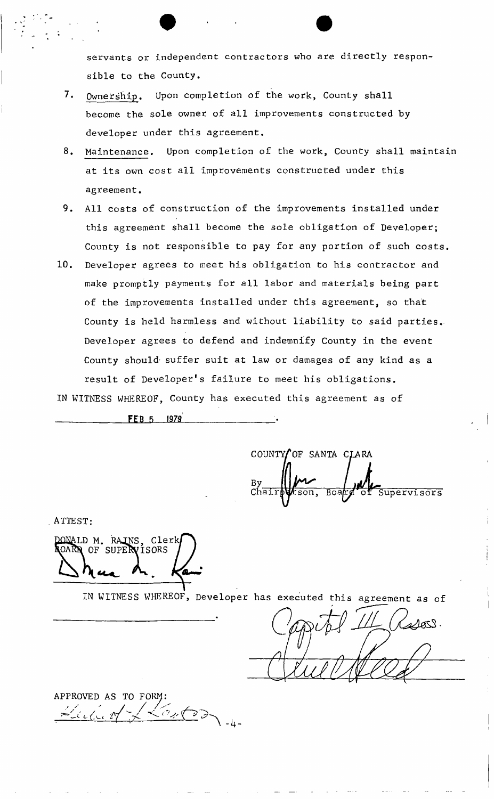servants or independent contractors who are directly responsible to the County.

- 7. Ownership. Upon completion of the work, County shall become the sole owner of all improvements constructed by developer under this agreement.
- 8. Maintenance. Upon completion of the work, County shall maintain at its own cost all improvements constructed under this agreement,
- 9. All costs of construction of the improvements installed under this agreement shall become the sole obligation of Developer; County is not responsible to pay for any portion of such costs.
- 10. Developer agrees to meet his obligation to his contractor and make promptly payments for all labor and materials being part of the improvements installed under this agreement, so that County is held harmless and without liability to said parties. Developer agrees to defend and indemnify County in the event County should suffer suit at law or damages of any kind as a result of Developer's failure to meet his obligations.

IN WITNESS WHEREOF, County has executed this agreement as of

**FEB 5 1979** 

COUNTY OF SANTA CLARA  $ch\overline{a}\overline{1}\overline{r}$ Boar  $\overline{\text{son}}$ , Supervisors

ATTEST:

DONALD M. RAINS, Clerk<br>ROARD OF SUPERVISORS

IN WITNESS WHEREOF, Developer has executed this agreement as of

 $\triangle A$ OSS.

APPROVED AS TO FORM: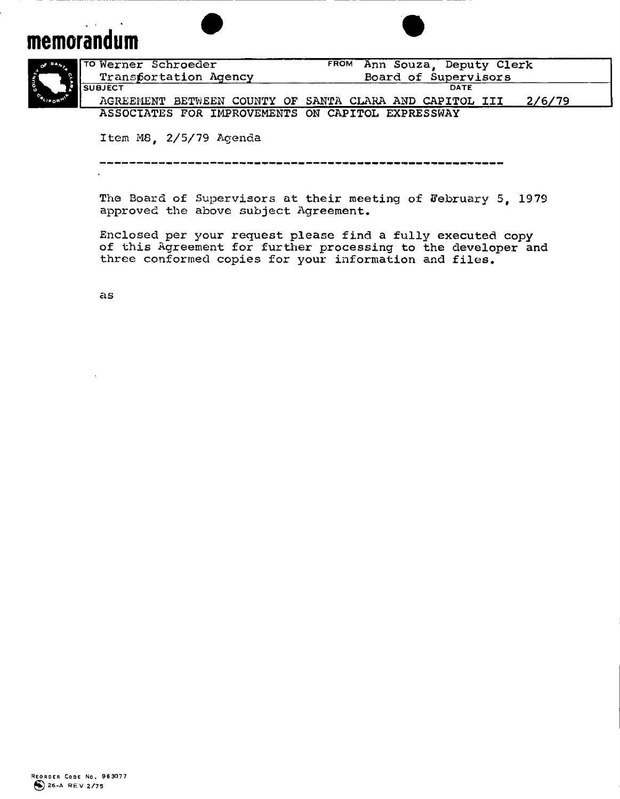# **memorandum**

 $\frac{1}{2}$ 





|           | TO Werner Schroeder                                     | Ann Souza, Deputy Clerk<br><b>FROM</b> |  |  |
|-----------|---------------------------------------------------------|----------------------------------------|--|--|
| <b>EL</b> | Transfortation Agency                                   | Board of Supervisors                   |  |  |
|           | SUBJÉCT                                                 | DATE                                   |  |  |
| "⊕″       | AGREEMENT BETWEEN COUNTY OF SANTA CLARA AND CAPITOL III | 2/6/79                                 |  |  |
|           | ASSOCIATES FOR IMPROVEMENTS ON CAPITOL EXPRESSWAY       |                                        |  |  |

**Item M8, 2/5/79 Agenda** 

**The Board of Supervisors at their meeting of February 5, 1979 approved the above subject Agreement.** 

**Enclosed per your request please find a fully executed copy of this Agreement for further processing to the developer and three conformed copies for your information and files.** 

**as**